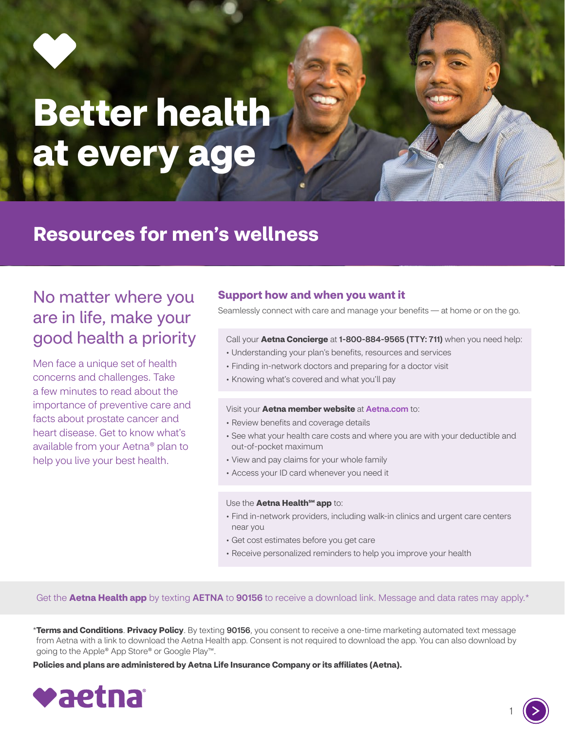

# **Better health at every age**

# **Resources for men's wellness**

## No matter where you are in life, make your good health a priority

Men face a unique set of health concerns and challenges. Take a few minutes to read about the importance of preventive care and facts about prostate cancer and heart disease. Get to know what's available from your Aetna® plan to help you live your best health.

#### **Support how and when you want it**

Seamlessly connect with care and manage your benefits — at home or on the go.

#### Call your **Aetna Concierge** at 1-800-884-9565 (TTY: 711) when you need help:

- Understanding your plan's benefits, resources and services
- Finding in-network doctors and preparing for a doctor visit
- Knowing what's covered and what you'll pay

#### Visit your **Aetna member website** at [Aetna.com](http://Aetna.com) to:

- Review benefits and coverage details
- See what your health care costs and where you are with your deductible and out-of-pocket maximum
- View and pay claims for your whole family
- Access your ID card whenever you need it

#### Use the **Aetna Health<sup>SM</sup> app** to:

- Find in-network providers, including walk-in clinics and urgent care centers near you
- Get cost estimates before you get care
- Receive personalized reminders to help you improve your health

Get the **Aetna Health app** by texting **AETNA** to **90156** to receive a download link. Message and data rates may apply.\*

\***[Terms and Conditions](http://aet.na/Terms)**. **[Privacy Policy](http://Aetna.com/legal-notices/privacy.html)**. By texting 90156, you consent to receive a one-time marketing automated text message from Aetna with a link to download the Aetna Health app. Consent is not required to download the app. You can also download by going to the Apple® App Store® or Google Play™.

**Policies and plans are administered by Aetna Life Insurance Company or its affiliates (Aetna).**



1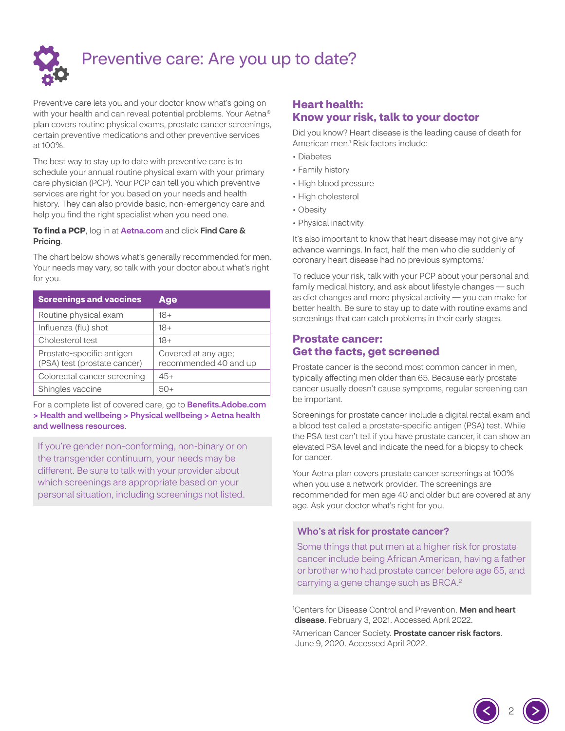

## Preventive care: Are you up to date?

Preventive care lets you and your doctor know what's going on with your health and can reveal potential problems. Your Aetna® plan covers routine physical exams, prostate cancer screenings, certain preventive medications and other preventive services at 100%.

The best way to stay up to date with preventive care is to schedule your annual routine physical exam with your primary care physician (PCP). Your PCP can tell you which preventive services are right for you based on your needs and health history. They can also provide basic, non-emergency care and help you find the right specialist when you need one.

#### **To find a PCP**, log in at [Aetna.com](http://Aetna.com) and click Find Care & Pricing.

The chart below shows what's generally recommended for men. Your needs may vary, so talk with your doctor about what's right for you.

| <b>Screenings and vaccines</b>                            | Age                                          |
|-----------------------------------------------------------|----------------------------------------------|
| Routine physical exam                                     | 18+                                          |
| Influenza (flu) shot                                      | $18+$                                        |
| Cholesterol test                                          | $18+$                                        |
| Prostate-specific antigen<br>(PSA) test (prostate cancer) | Covered at any age;<br>recommended 40 and up |
| Colorectal cancer screening                               | $45+$                                        |
| Shingles vaccine                                          |                                              |

For a complete list of covered care, go to **Benefits.Adobe.com** [> Health and wellbeing > Physical wellbeing > Aetna health](https://benefits.adobe.com/us/health-and-wellbeing/physical-wellbeing#AetnaHealth)  and wellness resources.

If you're gender non-conforming, non-binary or on the transgender continuum, your needs may be different. Be sure to talk with your provider about which screenings are appropriate based on your personal situation, including screenings not listed.

## **Heart health: Know your risk, talk to your doctor**

Did you know? Heart disease is the leading cause of death for American men.<sup>1</sup> Risk factors include:

- Diabetes
- Family history
- High blood pressure
- High cholesterol
- Obesity
- Physical inactivity

It's also important to know that heart disease may not give any advance warnings. In fact, half the men who die suddenly of coronary heart disease had no previous symptoms.1

To reduce your risk, talk with your PCP about your personal and family medical history, and ask about lifestyle changes — such as diet changes and more physical activity — you can make for better health. Be sure to stay up to date with routine exams and screenings that can catch problems in their early stages.

### **Prostate cancer: Get the facts, get screened**

Prostate cancer is the second most common cancer in men, typically affecting men older than 65. Because early prostate cancer usually doesn't cause symptoms, regular screening can be important.

Screenings for prostate cancer include a digital rectal exam and a blood test called a prostate-specific antigen (PSA) test. While the PSA test can't tell if you have prostate cancer, it can show an elevated PSA level and indicate the need for a biopsy to check for cancer.

Your Aetna plan covers prostate cancer screenings at 100% when you use a network provider. The screenings are recommended for men age 40 and older but are covered at any age. Ask your doctor what's right for you.

#### Who's at risk for prostate cancer?

Some things that put men at a higher risk for prostate cancer include being African American, having a father or brother who had prostate cancer before age 65, and carrying a gene change such as BRCA.<sup>2</sup>

<sup>1</sup> Centers for Disease Control and Prevention. **Men and heart** [disease](https://www.cdc.gov/heartdisease/men.htm). February 3, 2021. Accessed April 2022.

2

<sup>2</sup>American Cancer Society. **[Prostate cancer risk factors](https://www.cancer.org/cancer/prostate-cancer/causes-risks-prevention/risk-factors.html)**. June 9, 2020. Accessed April 2022.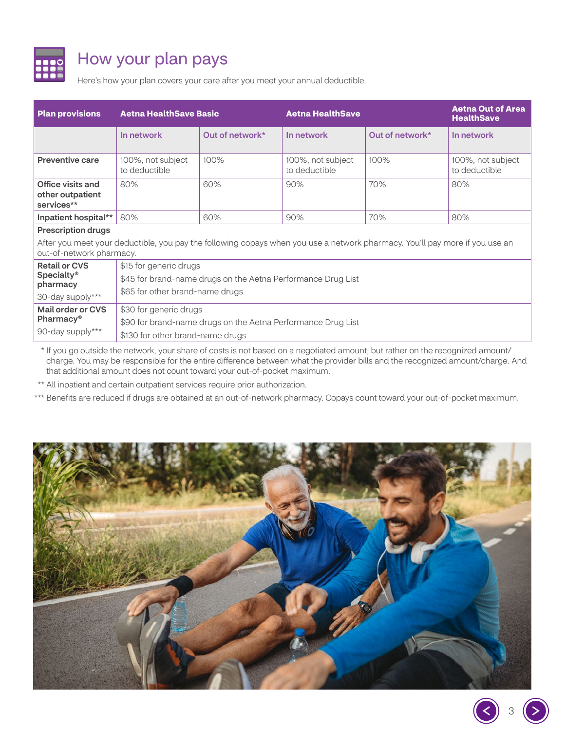

# How your plan pays

Here's how your plan covers your care after you meet your annual deductible.

| <b>Plan provisions</b>                                                                                                                                  | <b>Aetna HealthSave Basic</b>                                                                                             |                 | <b>Aetna HealthSave</b>            |                 | <b>Aetna Out of Area</b><br><b>HealthSave</b> |  |
|---------------------------------------------------------------------------------------------------------------------------------------------------------|---------------------------------------------------------------------------------------------------------------------------|-----------------|------------------------------------|-----------------|-----------------------------------------------|--|
|                                                                                                                                                         | In network                                                                                                                | Out of network* | In network                         | Out of network* | In network                                    |  |
| <b>Preventive care</b>                                                                                                                                  | 100%, not subject<br>to deductible                                                                                        | 100%            | 100%, not subject<br>to deductible | 100%            | 100%, not subject<br>to deductible            |  |
| Office visits and<br>other outpatient<br>services**                                                                                                     | 80%                                                                                                                       | 60%             | 90%                                | 70%             | 80%                                           |  |
| Inpatient hospital**                                                                                                                                    | 80%                                                                                                                       | 60%             | 90%                                | 70%             | 80%                                           |  |
| <b>Prescription drugs</b>                                                                                                                               |                                                                                                                           |                 |                                    |                 |                                               |  |
| After you meet your deductible, you pay the following copays when you use a network pharmacy. You'll pay more if you use an<br>out-of-network pharmacy. |                                                                                                                           |                 |                                    |                 |                                               |  |
| <b>Retail or CVS</b><br><b>Specialty®</b><br>pharmacy<br>30-day supply***                                                                               | \$15 for generic drugs<br>\$45 for brand-name drugs on the Aetna Performance Drug List<br>\$65 for other brand-name drugs |                 |                                    |                 |                                               |  |
| Mail order or CVS<br>Pharmacy <sup>®</sup><br>90-day supply***                                                                                          | \$30 for generic drugs<br>\$90 for brand-name drugs on the Aetna Performance Drug List                                    |                 |                                    |                 |                                               |  |
|                                                                                                                                                         | \$130 for other brand-name drugs                                                                                          |                 |                                    |                 |                                               |  |

\* If you go outside the network, your share of costs is not based on a negotiated amount, but rather on the recognized amount/ charge. You may be responsible for the entire difference between what the provider bills and the recognized amount/charge. And that additional amount does not count toward your out-of-pocket maximum.

\*\* All inpatient and certain outpatient services require prior authorization.

\*\*\* Benefits are reduced if drugs are obtained at an out-of-network pharmacy. Copays count toward your out-of-pocket maximum.



3